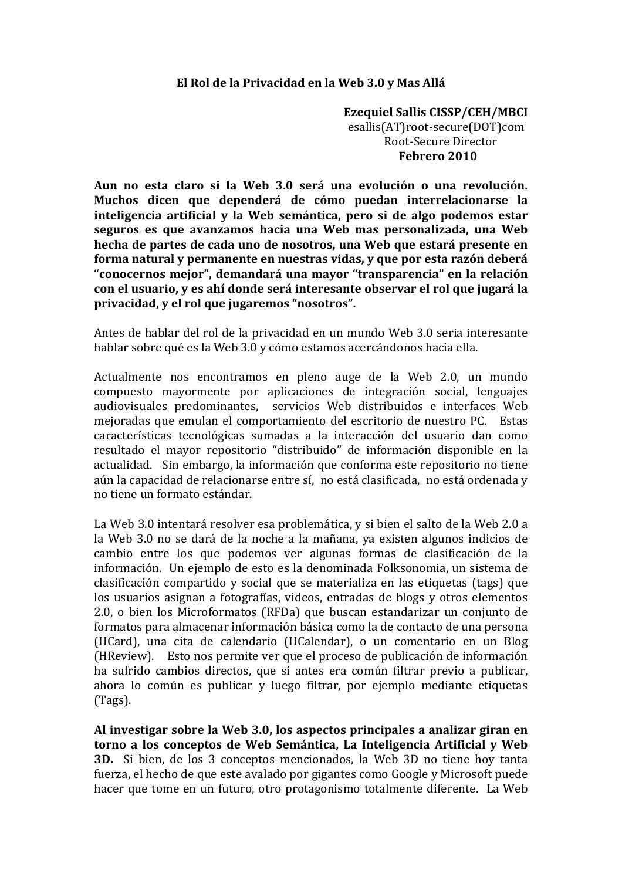## El Rol de la Privacidad en la Web 3.0 y Mas Allá

**Ezequiel Sallis CISSP/CEH/MBCI** esallis(AT)root-secure(DOT)com Root-Secure Director Febrero 2010

Aun no esta claro si la Web 3.0 será una evolución o una revolución. Muchos dicen que dependerá de cómo puedan interrelacionarse la inteligencia artificial y la Web semántica, pero si de algo podemos estar seguros es que avanzamos hacia una Web mas personalizada, una Web hecha de partes de cada uno de nosotros, una Web que estará presente en forma natural y permanente en nuestras vidas, y que por esta razón deberá "conocernos mejor", demandará una mayor "transparencia" en la relación con el usuario, y es ahí donde será interesante observar el rol que jugará la privacidad, y el rol que jugaremos "nosotros".

Antes de hablar del rol de la privacidad en un mundo Web 3.0 seria interesante hablar sobre qué es la Web 3.0 y cómo estamos acercándonos hacia ella.

Actualmente nos encontramos en pleno auge de la Web 2.0, un mundo compuesto mayormente por aplicaciones de integración social, lenguajes audiovisuales predominantes, servicios Web distribuidos e interfaces Web mejoradas que emulan el comportamiento del escritorio de nuestro PC. Estas características tecnológicas sumadas a la interacción del usuario dan como resultado el mayor repositorio "distribuido" de información disponible en la actualidad. Sin embargo, la información que conforma este repositorio no tiene aún la capacidad de relacionarse entre sí, no está clasificada, no está ordenada y no tiene un formato estándar.

La Web 3.0 intentará resolver esa problemática, y si bien el salto de la Web 2.0 a la Web 3.0 no se dará de la noche a la mañana, ya existen algunos indicios de cambio entre los que podemos ver algunas formas de clasificación de la información. Un ejemplo de esto es la denominada Folksonomia, un sistema de clasificación compartido y social que se materializa en las etiquetas (tags) que los usuarios asignan a fotografías, videos, entradas de blogs y otros elementos 2.0, o bien los Microformatos (RFDa) que buscan estandarizar un conjunto de formatos para almacenar información básica como la de contacto de una persona (HCard), una cita de calendario (HCalendar), o un comentario en un Blog (HReview). Esto nos permite ver que el proceso de publicación de información ha sufrido cambios directos, que si antes era común filtrar previo a publicar. ahora lo común es publicar y luego filtrar, por ejemplo mediante etiquetas (Tags).

Al investigar sobre la Web 3.0, los aspectos principales a analizar giran en torno a los conceptos de Web Semántica, La Inteligencia Artificial y Web 3D. Si bien, de los 3 conceptos mencionados, la Web 3D no tiene hoy tanta fuerza, el hecho de que este avalado por gigantes como Google y Microsoft puede hacer que tome en un futuro, otro protagonismo totalmente diferente. La Web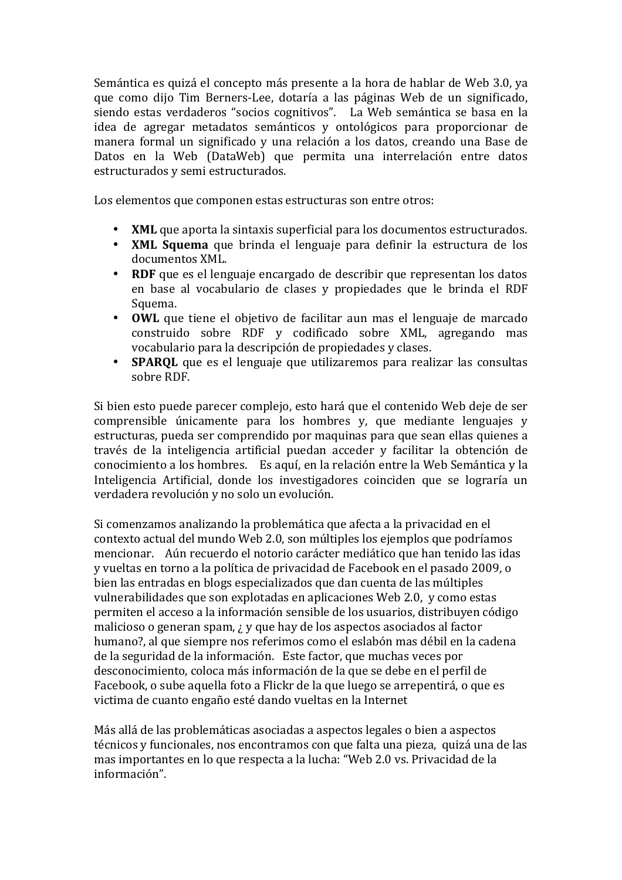Semántica es quizá el concepto más presente a la hora de hablar de Web 3.0, ya que como dijo Tim Berners-Lee, dotaría a las páginas Web de un significado, siendo estas verdaderos "socios cognitivos". La Web semántica se basa en la idea de agregar metadatos semánticos y ontológicos para proporcionar de manera formal un significado y una relación a los datos, creando una Base de Datos en la Web (DataWeb) que permita una interrelación entre datos estructurados y semi estructurados.

Los elementos que componen estas estructuras son entre otros:

- XML que aporta la sintaxis superficial para los documentos estructurados.  $\bullet$
- XML Squema que brinda el lenguaje para definir la estructura de los documentos XML.
- $\bullet$ RDF que es el lenguaje encargado de describir que representan los datos en base al vocabulario de clases y propiedades que le brinda el RDF Squema.
- $\bullet$ **OWL** que tiene el obietivo de facilitar aun mas el lenguaie de marcado construido sobre RDF y codificado sobre XML, agregando mas vocabulario para la descripción de propiedades y clases.
- **SPARQL** que es el lenguaje que utilizaremos para realizar las consultas sobre RDE.

Si bien esto puede parecer complejo, esto hará que el contenido Web deje de ser comprensible únicamente para los hombres y, que mediante lenguajes y estructuras, pueda ser comprendido por maguinas para que sean ellas quienes a través de la inteligencia artificial puedan acceder y facilitar la obtención de conocimiento a los hombres. Es aquí, en la relación entre la Web Semántica y la Inteligencia Artificial, donde los investigadores coinciden que se lograría un verdadera revolución y no solo un evolución.

Si comenzamos analizando la problemática que afecta a la privacidad en el contexto actual del mundo Web 2.0, son múltiples los ejemplos que podríamos mencionar. Aún recuerdo el notorio carácter mediático que han tenido las idas y vueltas en torno a la política de privacidad de Facebook en el pasado 2009, o bien las entradas en blogs especializados que dan cuenta de las múltiples vulnerabilidades que son explotadas en aplicaciones Web 2.0, y como estas permiten el acceso a la información sensible de los usuarios, distribuven código malicioso o generan spam. *;* y que hay de los aspectos asociados al factor humano?, al que siempre nos referimos como el eslabón mas débil en la cadena de la seguridad de la información. Este factor, que muchas veces por desconocimiento, coloca más información de la que se debe en el perfil de Facebook, o sube aquella foto a Flickr de la que luego se arrepentirá, o que es victima de cuanto engaño esté dando vueltas en la Internet

Más allá de las problemáticas asociadas a aspectos legales o bien a aspectos técnicos y funcionales, nos encontramos con que falta una pieza, quizá una de las mas importantes en lo que respecta a la lucha: "Web 2.0 vs. Privacidad de la información".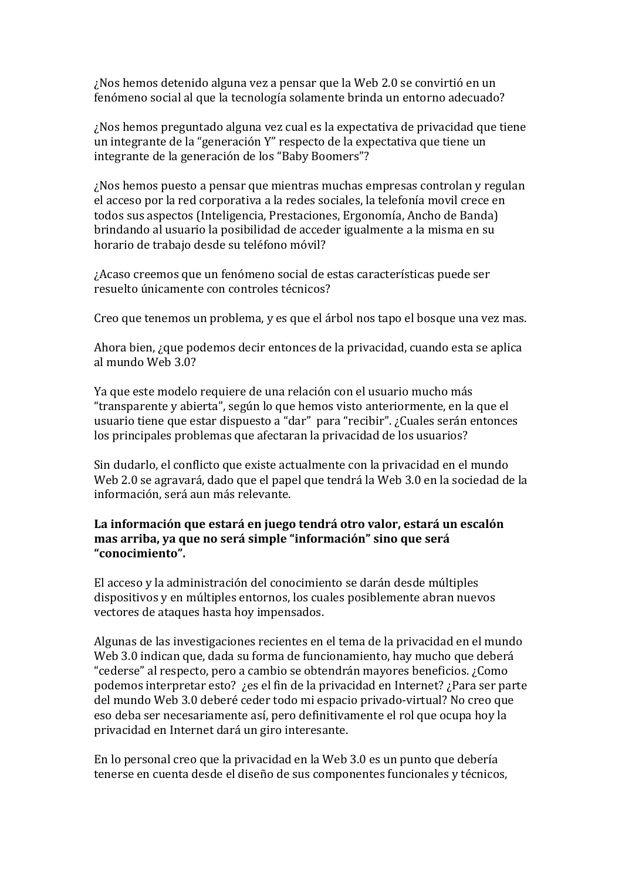¿Nos hemos detenido alguna vez a pensar que la Web 2.0 se convirtió en un fenómeno social al que la tecnología solamente brinda un entorno adecuado?

¿Nos hemos preguntado alguna vez cual es la expectativa de privacidad que tiene un integrante de la "generación Y" respecto de la expectativa que tiene un integrante de la generación de los "Baby Boomers"?

¿Nos hemos puesto a pensar que mientras muchas empresas controlan y regulan el acceso por la red corporativa a la redes sociales, la telefonía movil crece en todos sus aspectos (Inteligencia, Prestaciones, Ergonomía, Ancho de Banda) brindando al usuario la posibilidad de acceder igualmente a la misma en su horario de trabajo desde su teléfono móvil?

¿Acaso creemos que un fenómeno social de estas características puede ser resuelto únicamente con controles técnicos?

Creo que tenemos un problema, y es que el árbol nos tapo el bosque una vez mas.

Ahora bien, ¿que podemos decir entonces de la privacidad, cuando esta se aplica al mundo Web 3.0?

Ya que este modelo requiere de una relación con el usuario mucho más "transparente y abierta", según lo que hemos visto anteriormente, en la que el usuario tiene que estar dispuesto a "dar" para "recibir". ¿Cuales serán entonces los principales problemas que afectaran la privacidad de los usuarios?

Sin dudarlo, el conflicto que existe actualmente con la privacidad en el mundo Web 2.0 se agravará, dado que el papel que tendrá la Web 3.0 en la sociedad de la información, será aun más relevante.

## La información que estará en juego tendrá otro valor, estará un escalón mas arriba, ya que no será simple "información" sino que será "conocimiento".

El acceso y la administración del conocimiento se darán desde múltiples dispositivos y en múltiples entornos, los cuales posiblemente abran nuevos vectores de ataques hasta hoy impensados.

Algunas de las investigaciones recientes en el tema de la privacidad en el mundo Web 3.0 indican que, dada su forma de funcionamiento, hay mucho que deberá "cederse" al respecto, pero a cambio se obtendrán mayores beneficios, ¿Como podemos interpretar esto? ¿es el fin de la privacidad en Internet? ¿Para ser parte del mundo Web 3.0 deberé ceder todo mi espacio privado-virtual? No creo que eso deba ser necesariamente así, pero definitivamente el rol que ocupa hoy la privacidad en Internet dará un giro interesante.

En lo personal creo que la privacidad en la Web 3.0 es un punto que debería tenerse en cuenta desde el diseño de sus componentes funcionales y técnicos,